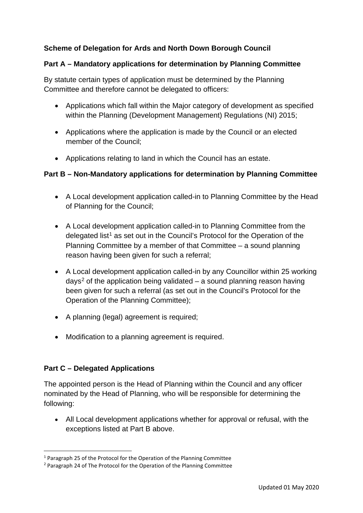# **Scheme of Delegation for Ards and North Down Borough Council**

#### **Part A – Mandatory applications for determination by Planning Committee**

By statute certain types of application must be determined by the Planning Committee and therefore cannot be delegated to officers:

- Applications which fall within the Major category of development as specified within the Planning (Development Management) Regulations (NI) 2015;
- Applications where the application is made by the Council or an elected member of the Council;
- Applications relating to land in which the Council has an estate.

### **Part B – Non-Mandatory applications for determination by Planning Committee**

- A Local development application called-in to Planning Committee by the Head of Planning for the Council;
- A Local development application called-in to Planning Committee from the delegated list<sup>[1](#page-0-0)</sup> as set out in the Council's Protocol for the Operation of the Planning Committee by a member of that Committee – a sound planning reason having been given for such a referral;
- A Local development application called-in by any Councillor within 25 working days<sup>[2](#page-0-1)</sup> of the application being validated  $-$  a sound planning reason having been given for such a referral (as set out in the Council's Protocol for the Operation of the Planning Committee);
- A planning (legal) agreement is required;
- Modification to a planning agreement is required.

### **Part C – Delegated Applications**

The appointed person is the Head of Planning within the Council and any officer nominated by the Head of Planning, who will be responsible for determining the following:

• All Local development applications whether for approval or refusal, with the exceptions listed at Part B above.

<span id="page-0-0"></span><sup>1</sup> Paragraph 25 of the Protocol for the Operation of the Planning Committee

<span id="page-0-1"></span><sup>2</sup> Paragraph 24 of The Protocol for the Operation of the Planning Committee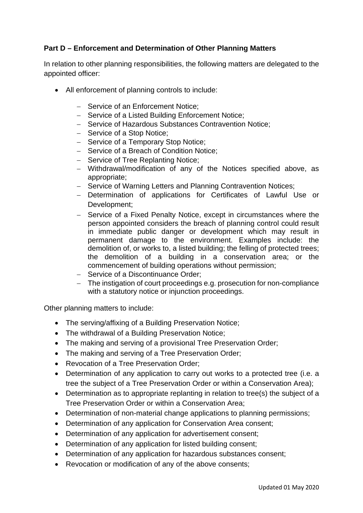### **Part D – Enforcement and Determination of Other Planning Matters**

In relation to other planning responsibilities, the following matters are delegated to the appointed officer:

- All enforcement of planning controls to include:
	- − Service of an Enforcement Notice;
	- − Service of a Listed Building Enforcement Notice;
	- − Service of Hazardous Substances Contravention Notice;
	- − Service of a Stop Notice;
	- − Service of a Temporary Stop Notice;
	- − Service of a Breach of Condition Notice;
	- − Service of Tree Replanting Notice;
	- − Withdrawal/modification of any of the Notices specified above, as appropriate;
	- − Service of Warning Letters and Planning Contravention Notices;
	- − Determination of applications for Certificates of Lawful Use or Development;
	- − Service of a Fixed Penalty Notice, except in circumstances where the person appointed considers the breach of planning control could result in immediate public danger or development which may result in permanent damage to the environment. Examples include: the demolition of, or works to, a listed building; the felling of protected trees; the demolition of a building in a conservation area; or the commencement of building operations without permission;
	- − Service of a Discontinuance Order;
	- − The instigation of court proceedings e.g. prosecution for non-compliance with a statutory notice or injunction proceedings.

Other planning matters to include:

- The serving/affixing of a Building Preservation Notice;
- The withdrawal of a Building Preservation Notice;
- The making and serving of a provisional Tree Preservation Order;
- The making and serving of a Tree Preservation Order;
- Revocation of a Tree Preservation Order;
- Determination of any application to carry out works to a protected tree (i.e. a tree the subject of a Tree Preservation Order or within a Conservation Area);
- Determination as to appropriate replanting in relation to tree(s) the subject of a Tree Preservation Order or within a Conservation Area;
- Determination of non-material change applications to planning permissions;
- Determination of any application for Conservation Area consent;
- Determination of any application for advertisement consent;
- Determination of any application for listed building consent;
- Determination of any application for hazardous substances consent;
- Revocation or modification of any of the above consents;